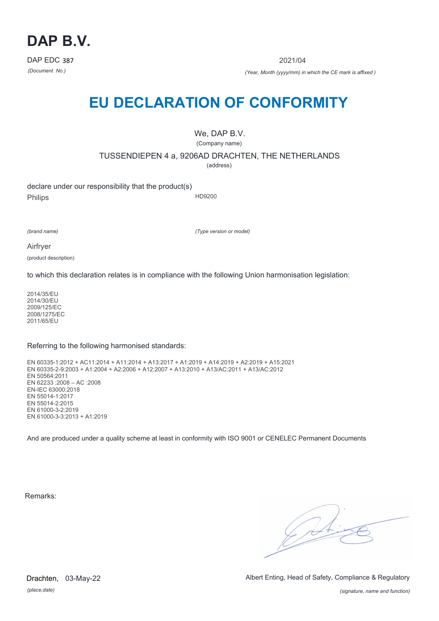

2021/04

*(Document No.) (Year, Month (yyyy/mm) in which the CE mark is affixed )*

# **EU DECLARATION OF CONFORMITY**

We, DAP B.V. (Company name)

TUSSENDIEPEN 4 a, 9206AD DRACHTEN, THE NETHERLANDS

(address)

declare under our responsibility that the product(s) Philips HD9200

*(brand name)*

*(Type version or model)*

Airfryer

(product description)

to which this declaration relates is in compliance with the following Union harmonisation legislation:

2014/35/EU 2014/30/EU 2009/125/EC 2008/1275/EC 2011/65/EU

Referring to the following harmonised standards:

EN 60335-1:2012 + AC11:2014 + A11:2014 + A13:2017 + A1:2019 + A14:2019 + A2:2019 + A15:2021 EN 60335-2-9:2003 + A1:2004 + A2:2006 + A12:2007 + A13:2010 + A13/AC:2011 + A13/AC:2012 EN 50564:2011 EN 62233 :2008 – AC :2008 EN-IEC 63000:2018 EN 55014-1:2017 EN 55014-2:2015 EN 61000-3-2:2019 EN 61000-3-3:2013 + A1:2019

And are produced under a quality scheme at least in conformity with ISO 9001 or CENELEC Permanent Documents

Remarks:

 $\sqrt{2}$ 

*(place,date)* Drachten, 03-May-22 Albert Enting, Head of Safety, Compliance & Regulatory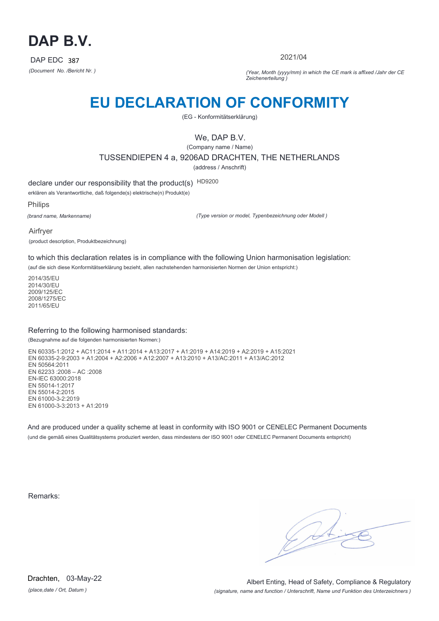

2021/04

*(Document No. /Bericht Nr. ) (Year, Month (yyyy/mm) in which the CE mark is affixed /Jahr der CE Zeichenerteilung )*

# **EU DECLARATION OF CONFORMITY**

(EG - Konformitätserklärung)

We, DAP B.V.

(Company name / Name) TUSSENDIEPEN 4 a, 9206AD DRACHTEN, THE NETHERLANDS (address / Anschrift)

declare under our responsibility that the product(s) HD9200

erklären als Verantwortliche, daß folgende(s) elektrische(n) Produkt(e)

Philips

*(brand name, Markenname)*

*(Type version or model, Typenbezeichnung oder Modell )*

Airfryer (product description, Produktbezeichnung)

to which this declaration relates is in compliance with the following Union harmonisation legislation:

(auf die sich diese Konformitätserklärung bezieht, allen nachstehenden harmonisierten Normen der Union entspricht:)

2014/35/EU 2014/30/EU 2009/125/EC 2008/1275/EC 2011/65/EU

#### Referring to the following harmonised standards:

(Bezugnahme auf die folgenden harmonisierten Normen:)

EN 60335-1:2012 + AC11:2014 + A11:2014 + A13:2017 + A1:2019 + A14:2019 + A2:2019 + A15:2021 EN 60335-2-9:2003 + A1:2004 + A2:2006 + A12:2007 + A13:2010 + A13/AC:2011 + A13/AC:2012 EN 50564:2011 EN 62233 :2008 – AC :2008 EN-IEC 63000:2018 EN 55014-1:2017 EN 55014-2:2015 EN 61000-3-2:2019 EN 61000-3-3:2013 + A1:2019

And are produced under a quality scheme at least in conformity with ISO 9001 or CENELEC Permanent Documents (und die gemäß eines Qualitätsystems produziert werden, dass mindestens der ISO 9001 oder CENELEC Permanent Documents entspricht)

Remarks:

*(place,date / Ort, Datum )* Drachten, 03-May-22

*(signature, name and function / Unterschrift, Name und Funktion des Unterzeichners )* Albert Enting, Head of Safety, Compliance & Regulatory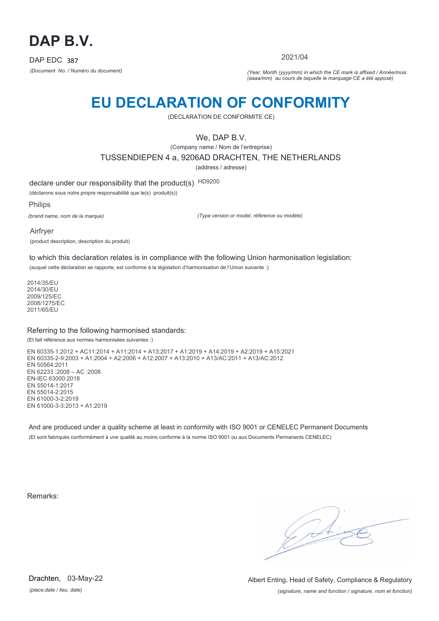

2021/04

*(Document No. / Numéro du document) (Year, Month (yyyy/mm) in which the CE mark is affixed / Année/mois (aaaa/mm) au cours de laquelle le marquage CE a été apposé)*

# **EU DECLARATION OF CONFORMITY**

(DECLARATION DE CONFORMITE CE)

We, DAP B.V.

(Company name / Nom de l'entreprise)

TUSSENDIEPEN 4 a, 9206AD DRACHTEN, THE NETHERLANDS

(address / adresse)

declare under our responsibility that the product(s) HD9200

(déclarons sous notre propre responsabilité que le(s) produit(s))

Philips

*(brand name, nom de la marque)*

*(Type version or model, référence ou modèle)*

Airfryer (product description, description du produit)

to which this declaration relates is in compliance with the following Union harmonisation legislation:

(auquel cette déclaration se rapporte, est conforme à la législation d'harmonisation de l'Union suivante :)

2014/35/EU 2014/30/EU 2009/125/EC 2008/1275/EC 2011/65/EU

#### Referring to the following harmonised standards:

(Et fait référence aux normes harmonisées suivantes :)

EN 60335-1:2012 + AC11:2014 + A11:2014 + A13:2017 + A1:2019 + A14:2019 + A2:2019 + A15:2021 EN 60335-2-9:2003 + A1:2004 + A2:2006 + A12:2007 + A13:2010 + A13/AC:2011 + A13/AC:2012 EN 50564:2011 EN 62233 :2008 – AC :2008 EN-IEC 63000:2018 EN 55014-1:2017 EN 55014-2:2015 EN 61000-3-2:2019 EN 61000-3-3:2013 + A1:2019

And are produced under a quality scheme at least in conformity with ISO 9001 or CENELEC Permanent Documents (Et sont fabriqués conformément à une qualité au moins conforme à la norme ISO 9001 ou aux Documents Permanents CENELEC)

Remarks:

*(place,date / lieu, date)* Drachten, 03-May-22

*(signature, name and function / signature, nom et fonction)* Albert Enting, Head of Safety, Compliance & Regulatory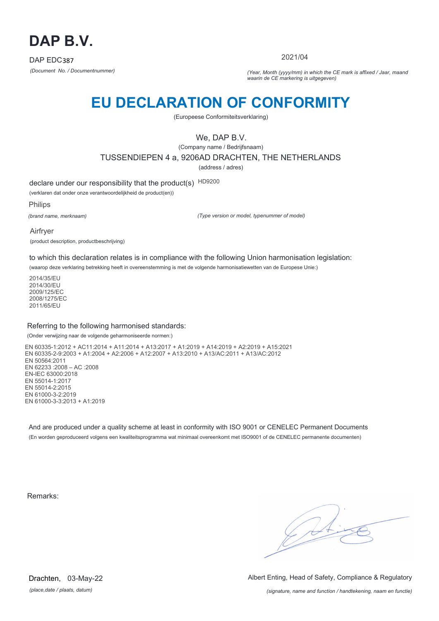

2021/04

*(Document No. / Documentnummer) (Year, Month (yyyy/mm) in which the CE mark is affixed / Jaar, maand waarin de CE markering is uitgegeven)*

# **EU DECLARATION OF CONFORMITY**

(Europeese Conformiteitsverklaring)

We, DAP B.V.

(Company name / Bedrijfsnaam)

TUSSENDIEPEN 4 a, 9206AD DRACHTEN, THE NETHERLANDS

(address / adres)

declare under our responsibility that the product(s) HD9200

(verklaren dat onder onze verantwoordelijkheid de product(en))

Philips

*(brand name, merknaam)*

*(Type version or model, typenummer of model)*

Airfryer (product description, productbeschrijving)

to which this declaration relates is in compliance with the following Union harmonisation legislation:

(waarop deze verklaring betrekking heeft in overeenstemming is met de volgende harmonisatiewetten van de Europese Unie:)

2014/35/EU 2014/30/EU 2009/125/EC 2008/1275/EC 2011/65/EU

#### Referring to the following harmonised standards:

(Onder verwijzing naar de volgende geharmoniseerde normen:)

EN 60335-1:2012 + AC11:2014 + A11:2014 + A13:2017 + A1:2019 + A14:2019 + A2:2019 + A15:2021 EN 60335-2-9:2003 + A1:2004 + A2:2006 + A12:2007 + A13:2010 + A13/AC:2011 + A13/AC:2012 EN 50564:2011 EN 62233 :2008 – AC :2008 EN-IEC 63000:2018 EN 55014-1:2017 EN 55014-2:2015 EN 61000-3-2:2019 EN 61000-3-3:2013 + A1:2019

And are produced under a quality scheme at least in conformity with ISO 9001 or CENELEC Permanent Documents (En worden geproduceerd volgens een kwaliteitsprogramma wat minimaal overeenkomt met ISO9001 of de CENELEC permanente documenten)

Remarks:

 $\sqrt{1}$ 

*(place,date / plaats, datum)* Drachten, 03-May-22 Albert Enting, Head of Safety, Compliance & Regulatory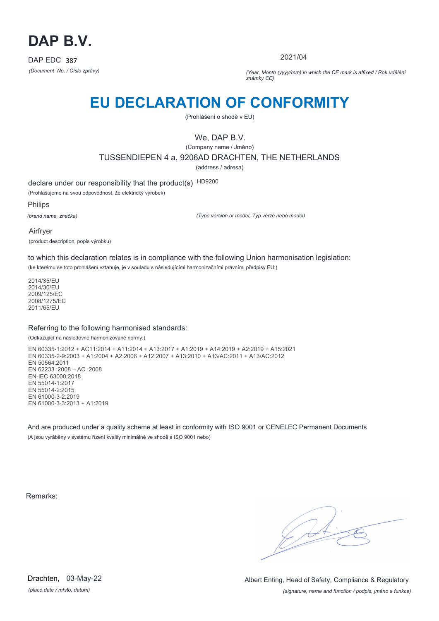

2021/04

*(Document No. / Číslo zprávy) (Year, Month (yyyy/mm) in which the CE mark is affixed / Rok udělění známky CE)*

# **EU DECLARATION OF CONFORMITY**

(Prohlášení o shodě v EU)

We, DAP B.V.

(Company name / Jméno) TUSSENDIEPEN 4 a, 9206AD DRACHTEN, THE NETHERLANDS (address / adresa)

declare under our responsibility that the product(s) HD9200

(Prohlašujeme na svou odpovědnost, že elektrický výrobek)

Philips

*(brand name, značka)*

*(Type version or model, Typ verze nebo model)*

Airfryer (product description, popis výrobku)

to which this declaration relates is in compliance with the following Union harmonisation legislation:

(ke kterému se toto prohlášení vztahuje, je v souladu s následujícími harmonizačními právními předpisy EU:)

2014/35/EU 2014/30/EU 2009/125/EC 2008/1275/EC 2011/65/EU

#### Referring to the following harmonised standards:

(Odkazující na následovné harmonizované normy:)

EN 60335-1:2012 + AC11:2014 + A11:2014 + A13:2017 + A1:2019 + A14:2019 + A2:2019 + A15:2021 EN 60335-2-9:2003 + A1:2004 + A2:2006 + A12:2007 + A13:2010 + A13/AC:2011 + A13/AC:2012 EN 50564:2011 EN 62233 :2008 – AC :2008 EN-IEC 63000:2018 EN 55014-1:2017 EN 55014-2:2015 EN 61000-3-2:2019 EN 61000-3-3:2013 + A1:2019

And are produced under a quality scheme at least in conformity with ISO 9001 or CENELEC Permanent Documents (A jsou vyráběny v systému řízení kvality minimálně ve shodě s ISO 9001 nebo)

Remarks:

*(place,date / místo, datum)* Drachten, 03-May-22

*(signature, name and function / podpis, jméno a funkce)* Albert Enting, Head of Safety, Compliance & Regulatory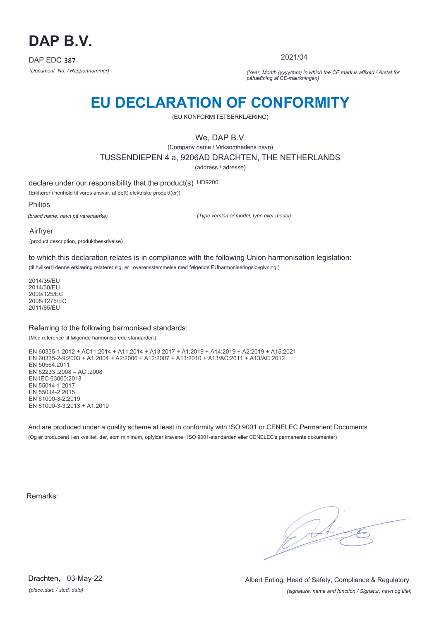

2021/04

*(Document No. / Rapportnummer) (Year, Month (yyyy/mm) in which the CE mark is affixed / Årstal for påhæftning af CE-mærkningen)*

# **EU DECLARATION OF CONFORMITY**

(EU KONFORMITETSERKLÆRING)

We, DAP B.V.

(Company name / Virksomhedens navn)

TUSSENDIEPEN 4 a, 9206AD DRACHTEN, THE NETHERLANDS

(address / adresse)

declare under our responsibility that the product(s) HD9200

(Erklærer i henhold til vores ansvar, at de(t) elektriske produkt(er))

Philips

*(brand name, navn på varemærke)*

*(Type version or model, type eller model)*

Airfryer (product description, produktbeskrivelse)

to which this declaration relates is in compliance with the following Union harmonisation legislation:

(til hvilke(t) denne erklæring relaterer sig, er i overensstemmelse med følgende EUharmoniseringslovgivning:)

2014/35/EU 2014/30/EU 2009/125/EC 2008/1275/EC 2011/65/EU

#### Referring to the following harmonised standards:

(Med reference til følgende harmoniserede standarder:)

EN 60335-1:2012 + AC11:2014 + A11:2014 + A13:2017 + A1:2019 + A14:2019 + A2:2019 + A15:2021 EN 60335-2-9:2003 + A1:2004 + A2:2006 + A12:2007 + A13:2010 + A13/AC:2011 + A13/AC:2012 EN 50564:2011 EN 62233 :2008 – AC :2008 EN-IEC 63000:2018 EN 55014-1:2017 EN 55014-2:2015 EN 61000-3-2:2019 EN 61000-3-3:2013 + A1:2019

And are produced under a quality scheme at least in conformity with ISO 9001 or CENELEC Permanent Documents (Og er produceret i en kvalitet, der, som minimum, opfylder kravene i ISO 9001-standarden eller CENELEC's permanente dokumenter)

Remarks:

 $\sqrt{11}$ 

*(place,date / sted, dato)* Drachten, 03-May-22

*(signature, name and function / Signatur, navn og titel)* Albert Enting, Head of Safety, Compliance & Regulatory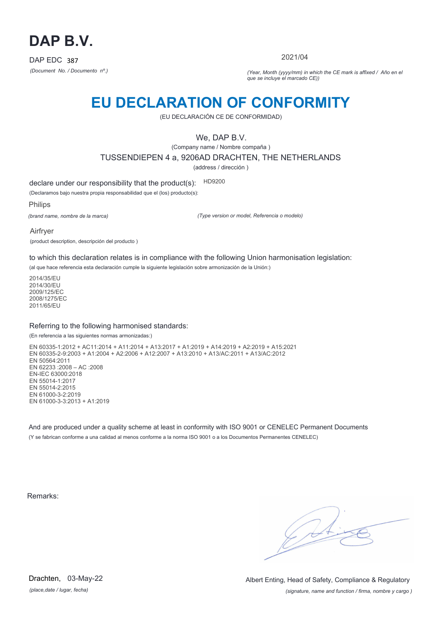

2021/04

*(Document No. / Documento nº.) (Year, Month (yyyy/mm) in which the CE mark is affixed / Año en el que se incluye el marcado CE))*

### **EU DECLARATION OF CONFORMITY**

(EU DECLARACIÓN CE DE CONFORMIDAD)

We, DAP B.V.

(Company name / Nombre compaña )

TUSSENDIEPEN 4 a, 9206AD DRACHTEN, THE NETHERLANDS

(address / dirección )

declare under our responsibility that the product(s): HD9200

(Declaramos bajo nuestra propia responsabilidad que el (los) producto(s):

Philips

*(brand name, nombre de la marca)*

*(Type version or model, Referencia o modelo)*

Airfryer

(product description, descripción del producto )

to which this declaration relates is in compliance with the following Union harmonisation legislation:

(al que hace referencia esta declaración cumple la siguiente legislación sobre armonización de la Unión:)

2014/35/EU 2014/30/EU 2009/125/EC 2008/1275/EC 2011/65/EU

#### Referring to the following harmonised standards:

(En referencia a las siguientes normas armonizadas:)

EN 60335-1:2012 + AC11:2014 + A11:2014 + A13:2017 + A1:2019 + A14:2019 + A2:2019 + A15:2021 EN 60335-2-9:2003 + A1:2004 + A2:2006 + A12:2007 + A13:2010 + A13/AC:2011 + A13/AC:2012 EN 50564:2011 EN 62233 :2008 – AC :2008 EN-IEC 63000:2018 EN 55014-1:2017 EN 55014-2:2015 EN 61000-3-2:2019 EN 61000-3-3:2013 + A1:2019

And are produced under a quality scheme at least in conformity with ISO 9001 or CENELEC Permanent Documents (Y se fabrican conforme a una calidad al menos conforme a la norma ISO 9001 o a los Documentos Permanentes CENELEC)

Remarks:

*(place,date / lugar, fecha)* Drachten, 03-May-22

*(signature, name and function / firma, nombre y cargo )* Albert Enting, Head of Safety, Compliance & Regulatory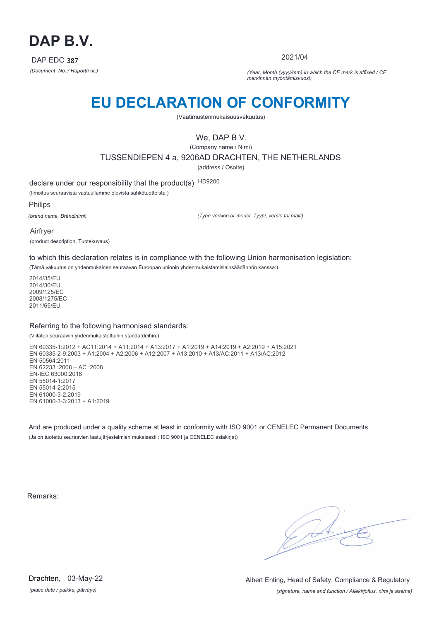

2021/04

*(Document No. / Raportti nr.) (Year, Month (yyyy/mm) in which the CE mark is affixed / CE merkinnän myöntämisvuosi)*

# **EU DECLARATION OF CONFORMITY**

(Vaatimustenmukaisuusvakuutus)

We, DAP B.V.

(Company name / Nimi) TUSSENDIEPEN 4 a, 9206AD DRACHTEN, THE NETHERLANDS (address / Osoite)

declare under our responsibility that the product(s) HD9200

(Ilmoitus seuraavista vastuullamme olevista sähkötuotteista:)

Philips

*(brand name, Brändinimi)*

*(Type version or model, Tyypi, versio tai malli)*

Airfryer (product description, Tuotekuvaus)

to which this declaration relates is in compliance with the following Union harmonisation legislation:

(Tämä vakuutus on yhdenmukainen seuraavan Euroopan unionin yhdenmukaistamislainsäädännön kanssa:)

2014/35/EU 2014/30/EU 2009/125/EC 2008/1275/EC 2011/65/EU

#### Referring to the following harmonised standards:

(Viitaten seuraaviin yhdenmukaistettuihin standardeihin:)

EN 60335-1:2012 + AC11:2014 + A11:2014 + A13:2017 + A1:2019 + A14:2019 + A2:2019 + A15:2021 EN 60335-2-9:2003 + A1:2004 + A2:2006 + A12:2007 + A13:2010 + A13/AC:2011 + A13/AC:2012 EN 50564:2011 EN 62233 :2008 – AC :2008 EN-IEC 63000:2018 EN 55014-1:2017 EN 55014-2:2015 EN 61000-3-2:2019 EN 61000-3-3:2013 + A1:2019

And are produced under a quality scheme at least in conformity with ISO 9001 or CENELEC Permanent Documents (Ja on tuotettu seuraavien laatujärjestelmien mukaisesti : ISO 9001 ja CENELEC asiakirjat)

Remarks:

*(place,date / paikka, päiväys)* Drachten, 03-May-22

*(signature, name and function / Allekirjoitus, nimi ja asema)* Albert Enting, Head of Safety, Compliance & Regulatory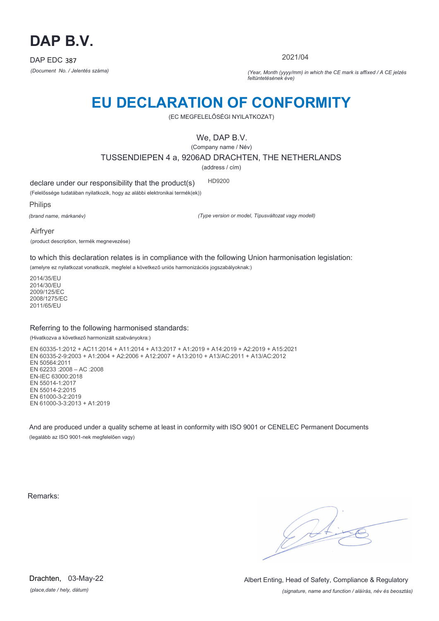

2021/04

*(Document No. / Jelentés száma) (Year, Month (yyyy/mm) in which the CE mark is affixed / A CE jelzés feltüntetésének éve)*

# **EU DECLARATION OF CONFORMITY**

(EC MEGFELELŐSÉGI NYILATKOZAT)

We, DAP B.V.

(Company name / Név)

TUSSENDIEPEN 4 a, 9206AD DRACHTEN, THE NETHERLANDS

(address / cím)

declare under our responsibility that the product(s) HD9200

(Felelőssége tudatában nyilatkozik, hogy az alábbi elektronikai termék(ek))

Philips

*(brand name, márkanév)*

*(Type version or model, Típusváltozat vagy modell)*

Airfryer

(product description, termék megnevezése)

to which this declaration relates is in compliance with the following Union harmonisation legislation:

(amelyre ez nyilatkozat vonatkozik, megfelel a következő uniós harmonizációs jogszabályoknak:)

2014/35/EU 2014/30/EU 2009/125/EC 2008/1275/EC 2011/65/EU

#### Referring to the following harmonised standards:

(Hivatkozva a következő harmonizált szabványokra:)

EN 60335-1:2012 + AC11:2014 + A11:2014 + A13:2017 + A1:2019 + A14:2019 + A2:2019 + A15:2021 EN 60335-2-9:2003 + A1:2004 + A2:2006 + A12:2007 + A13:2010 + A13/AC:2011 + A13/AC:2012 EN 50564:2011 EN 62233 :2008 – AC :2008 EN-IEC 63000:2018 EN 55014-1:2017 EN 55014-2:2015 EN 61000-3-2:2019 EN 61000-3-3:2013 + A1:2019

And are produced under a quality scheme at least in conformity with ISO 9001 or CENELEC Permanent Documents (legalább az ISO 9001-nek megfelelően vagy)

Remarks:

 $\sqrt{1}$ 

*(place,date / hely, dátum)* Drachten, 03-May-22

*(signature, name and function / aláírás, név és beosztás)* Albert Enting, Head of Safety, Compliance & Regulatory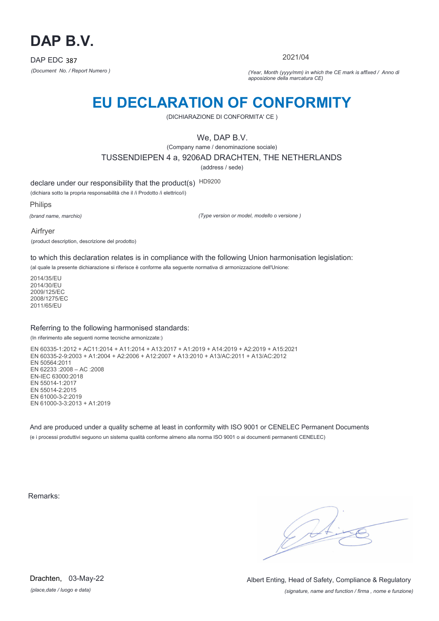

2021/04

*(Document No. / Report Numero ) (Year, Month (yyyy/mm) in which the CE mark is affixed / Anno di apposizione della marcatura CE)*

### **EU DECLARATION OF CONFORMITY**

(DICHIARAZIONE DI CONFORMITA' CE )

We, DAP B.V.

(Company name / denominazione sociale)

TUSSENDIEPEN 4 a, 9206AD DRACHTEN, THE NETHERLANDS

(address / sede)

declare under our responsibility that the product(s) HD9200

(dichiara sotto la propria responsabilità che il /i Prodotto /i elettrico/i)

Philips

*(brand name, marchio)*

*(Type version or model, modello o versione )*

Airfryer

(product description, descrizione del prodotto)

to which this declaration relates is in compliance with the following Union harmonisation legislation:

(al quale la presente dichiarazione si riferisce è conforme alla seguente normativa di armonizzazione dell'Unione:

2014/35/EU 2014/30/EU 2009/125/EC 2008/1275/EC 2011/65/EU

#### Referring to the following harmonised standards:

(In riferimento alle seguenti norme tecniche armonizzate:)

EN 60335-1:2012 + AC11:2014 + A11:2014 + A13:2017 + A1:2019 + A14:2019 + A2:2019 + A15:2021 EN 60335-2-9:2003 + A1:2004 + A2:2006 + A12:2007 + A13:2010 + A13/AC:2011 + A13/AC:2012 EN 50564:2011 EN 62233 :2008 – AC :2008 EN-IEC 63000:2018 EN 55014-1:2017 EN 55014-2:2015 EN 61000-3-2:2019 EN 61000-3-3:2013 + A1:2019

And are produced under a quality scheme at least in conformity with ISO 9001 or CENELEC Permanent Documents (e i processi produttivi seguono un sistema qualità conforme almeno alla norma ISO 9001 o ai documenti permanenti CENELEC)

Remarks:

 $\sqrt{4}$ 

*(place,date / luogo e data)* Drachten, 03-May-22

*(signature, name and function / firma , nome e funzione)* Albert Enting, Head of Safety, Compliance & Regulatory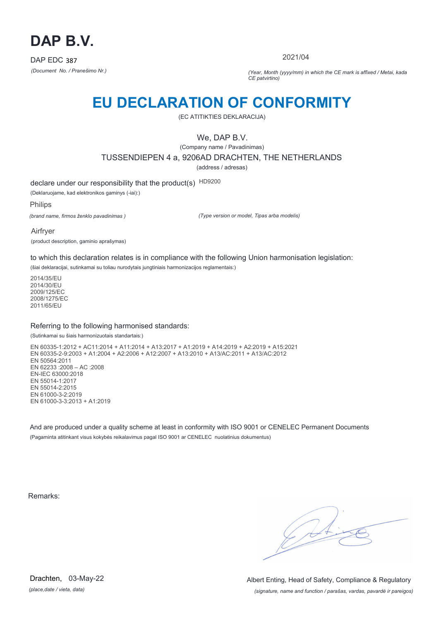

2021/04

*(Document No. / Pranešimo Nr.) (Year, Month (yyyy/mm) in which the CE mark is affixed / Metai, kada CE patvirtino)*

### **EU DECLARATION OF CONFORMITY**

(EC ATITIKTIES DEKLARACIJA)

We, DAP B.V.

(Company name / Pavadinimas) TUSSENDIEPEN 4 a, 9206AD DRACHTEN, THE NETHERLANDS

(address / adresas)

declare under our responsibility that the product(s) HD9200

(Deklaruojame, kad elektronikos gaminys (-iai):)

Philips

*(brand name, firmos ženklo pavadinimas )*

*(Type version or model, Tipas arba modelis)*

Airfryer

(product description, gaminio aprašymas)

to which this declaration relates is in compliance with the following Union harmonisation legislation:

(šiai deklaracijai, sutinkamai su toliau nurodytais jungtiniais harmonizacijos reglamentais:)

2014/35/EU 2014/30/EU 2009/125/EC 2008/1275/EC 2011/65/EU

#### Referring to the following harmonised standards:

#### (Sutinkamai su šiais harmonizuotais standartais:)

EN 60335-1:2012 + AC11:2014 + A11:2014 + A13:2017 + A1:2019 + A14:2019 + A2:2019 + A15:2021 EN 60335-2-9:2003 + A1:2004 + A2:2006 + A12:2007 + A13:2010 + A13/AC:2011 + A13/AC:2012 EN 50564:2011 EN 62233 :2008 – AC :2008 EN-IEC 63000:2018 EN 55014-1:2017 EN 55014-2:2015 EN 61000-3-2:2019 EN 61000-3-3:2013 + A1:2019

And are produced under a quality scheme at least in conformity with ISO 9001 or CENELEC Permanent Documents (Pagaminta atitinkant visus kokybės reikalavimus pagal ISO 9001 ar CENELEC nuolatinius dokumentus)

Remarks:

 $\sqrt{4}$ 

*(place,date / vieta, data)* Drachten, 03-May-22

*(signature, name and function / parašas, vardas, pavardė ir pareigos)* Albert Enting, Head of Safety, Compliance & Regulatory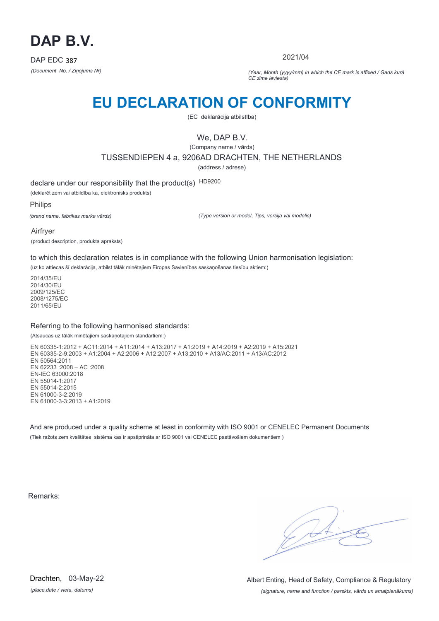

2021/04

*(Document No. / Ziņojums Nr) (Year, Month (yyyy/mm) in which the CE mark is affixed / Gads kurā CE zīme ieviesta)*

## **EU DECLARATION OF CONFORMITY**

(EC deklarācija atbilstība)

We, DAP B.V.

(Company name / vārds) TUSSENDIEPEN 4 a, 9206AD DRACHTEN, THE NETHERLANDS

(address / adrese)

declare under our responsibility that the product(s) HD9200

(deklarēt zem vai atbildība ka, elektronisks produkts)

Philips

*(brand name, fabrikas marka vārds)*

*(Type version or model, Tips, versija vai modelis)*

Airfryer

(product description, produkta apraksts)

to which this declaration relates is in compliance with the following Union harmonisation legislation:

(uz ko attiecas šī deklarācija, atbilst tālāk minētajiem Eiropas Savienības saskaņošanas tiesību aktiem:)

2014/35/EU 2014/30/EU 2009/125/EC 2008/1275/EC 2011/65/EU

#### Referring to the following harmonised standards:

(Atsaucas uz tālāk minētajiem saskaņotajiem standartiem:)

EN 60335-1:2012 + AC11:2014 + A11:2014 + A13:2017 + A1:2019 + A14:2019 + A2:2019 + A15:2021 EN 60335-2-9:2003 + A1:2004 + A2:2006 + A12:2007 + A13:2010 + A13/AC:2011 + A13/AC:2012 EN 50564:2011 EN 62233 :2008 – AC :2008 EN-IEC 63000:2018 EN 55014-1:2017 EN 55014-2:2015 EN 61000-3-2:2019 EN 61000-3-3:2013 + A1:2019

And are produced under a quality scheme at least in conformity with ISO 9001 or CENELEC Permanent Documents (Tiek ražots zem kvalitātes sistēma kas ir apstiprināta ar ISO 9001 vai CENELEC pastāvošiem dokumentiem )

Remarks:

 $\sqrt{4}$ 

*(place,date / vieta, datums)* Drachten, 03-May-22

*(signature, name and function / parskts, vārds un amatpienākums)* Albert Enting, Head of Safety, Compliance & Regulatory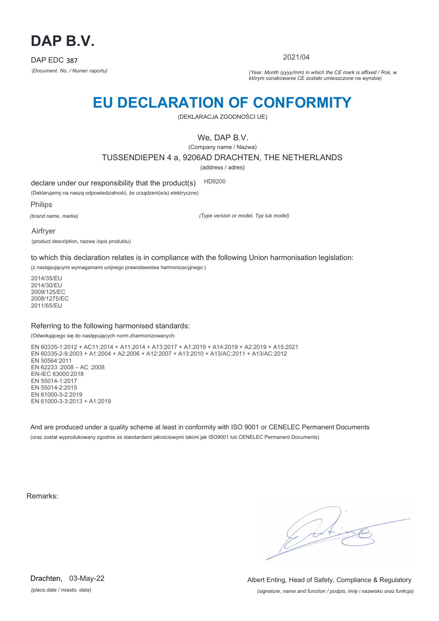

2021/04

*(Document No. / Numer raportu) (Year, Month (yyyy/mm) in which the CE mark is affixed / Rok, w którym oznakowanie CE zostało umieszczone na wyrobie)*

# **EU DECLARATION OF CONFORMITY**

(DEKLARACJA ZGODNOŚCI UE)

We, DAP B.V.

(Company name / Nazwa)

TUSSENDIEPEN 4 a, 9206AD DRACHTEN, THE NETHERLANDS

(address / adres)

declare under our responsibility that the product(s) HD9200

(Deklarujemy na naszą odpowiedzialność, że urządzeni(e/a) elektryczne)

Philips

*(brand name, marka)*

*(Type version or model, Typ lub model)*

Airfryer

(product description, nazwa /opis produktu)

to which this declaration relates is in compliance with the following Union harmonisation legislation:

(z następującymi wymaganiami unijnego prawodawstwa harmonizacyjnego:)

2014/35/EU 2014/30/EU 2009/125/EC 2008/1275/EC 2011/65/EU

#### Referring to the following harmonised standards:

(Odwołującego się do następujących norm zharmonizowanych:

EN 60335-1:2012 + AC11:2014 + A11:2014 + A13:2017 + A1:2019 + A14:2019 + A2:2019 + A15:2021 EN 60335-2-9:2003 + A1:2004 + A2:2006 + A12:2007 + A13:2010 + A13/AC:2011 + A13/AC:2012 EN 50564:2011 EN 62233 :2008 – AC :2008 EN-IEC 63000:2018 EN 55014-1:2017 EN 55014-2:2015 EN 61000-3-2:2019 EN 61000-3-3:2013 + A1:2019

And are produced under a quality scheme at least in conformity with ISO 9001 or CENELEC Permanent Documents (oraz został wyprodukowany zgodnie ze standardami jakościowymi takimi jak ISO9001 lub CENELEC Permanent Documents)

Remarks:

*(place,date / miasto, data)* Drachten, 03-May-22

*(signature, name and function / podpis, imię i nazwisko oraz funkcja)* Albert Enting, Head of Safety, Compliance & Regulatory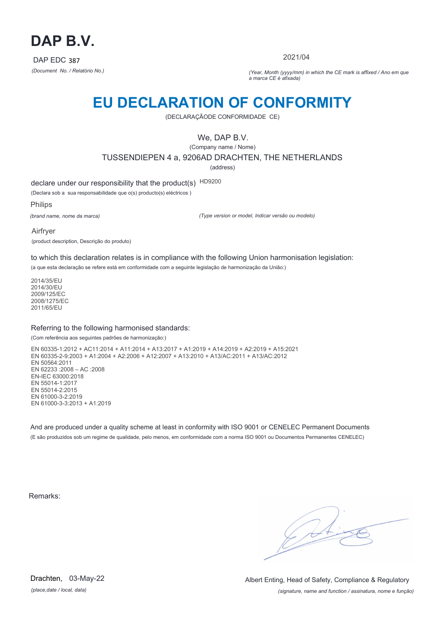

2021/04

*(Document No. / Relatório No.) (Year, Month (yyyy/mm) in which the CE mark is affixed / Ano em que a marca CE é afixada)*

### **EU DECLARATION OF CONFORMITY**

(DECLARAÇÃODE CONFORMIDADE CE)

We, DAP B.V.

(Company name / Nome) TUSSENDIEPEN 4 a, 9206AD DRACHTEN, THE NETHERLANDS (address)

declare under our responsibility that the product(s) HD9200

(Declara sob a sua responsabilidade que o(s) producto(s) eléctricos )

Philips

*(brand name, nome da marca)*

*(Type version or model, Indicar versão ou modelo)*

Airfryer

(product description, Descrição do produto)

to which this declaration relates is in compliance with the following Union harmonisation legislation:

(a que esta declaração se refere está em conformidade com a seguinte legislação de harmonização da União:)

2014/35/EU 2014/30/EU 2009/125/EC 2008/1275/EC 2011/65/EU

#### Referring to the following harmonised standards:

(Com referência aos seguintes padrões de harmonização:)

EN 60335-1:2012 + AC11:2014 + A11:2014 + A13:2017 + A1:2019 + A14:2019 + A2:2019 + A15:2021 EN 60335-2-9:2003 + A1:2004 + A2:2006 + A12:2007 + A13:2010 + A13/AC:2011 + A13/AC:2012 EN 50564:2011 EN 62233 :2008 – AC :2008 EN-IEC 63000:2018 EN 55014-1:2017 EN 55014-2:2015 EN 61000-3-2:2019 EN 61000-3-3:2013 + A1:2019

And are produced under a quality scheme at least in conformity with ISO 9001 or CENELEC Permanent Documents (E são produzidos sob um regime de qualidade, pelo menos, em conformidade com a norma ISO 9001 ou Documentos Permanentes CENELEC)

Remarks:

*(place,date / local, data)* Drachten, 03-May-22

*(signature, name and function / assinatura, nome e função)* Albert Enting, Head of Safety, Compliance & Regulatory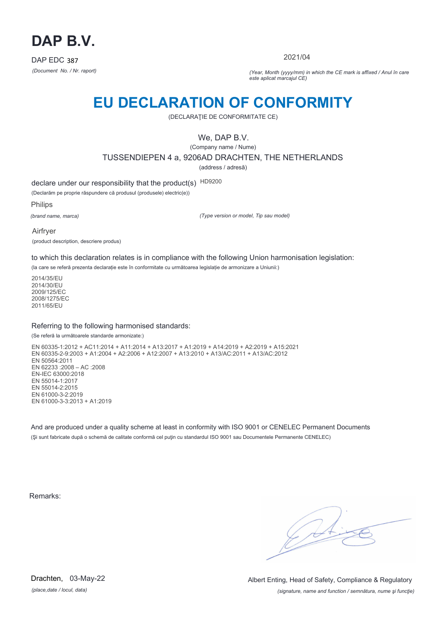

2021/04

*(Document No. / Nr. raport) (Year, Month (yyyy/mm) in which the CE mark is affixed / Anul în care este aplicat marcajul CE)*

### **EU DECLARATION OF CONFORMITY**

(DECLARAŢIE DE CONFORMITATE CE)

We, DAP B.V.

(Company name / Nume)

TUSSENDIEPEN 4 a, 9206AD DRACHTEN, THE NETHERLANDS

(address / adresă)

declare under our responsibility that the product(s) HD9200

(Declarăm pe proprie răspundere că produsul (produsele) electric(e))

Philips

*(brand name, marca)*

*(Type version or model, Tip sau model)*

Airfryer (product description, descriere produs)

to which this declaration relates is in compliance with the following Union harmonisation legislation:

(la care se referă prezenta declarație este în conformitate cu următoarea legislație de armonizare a Uniunii:)

2014/35/EU 2014/30/EU 2009/125/EC 2008/1275/EC 2011/65/EU

#### Referring to the following harmonised standards:

#### (Se referă la următoarele standarde armonizate:)

EN 60335-1:2012 + AC11:2014 + A11:2014 + A13:2017 + A1:2019 + A14:2019 + A2:2019 + A15:2021 EN 60335-2-9:2003 + A1:2004 + A2:2006 + A12:2007 + A13:2010 + A13/AC:2011 + A13/AC:2012 EN 50564:2011 EN 62233 :2008 – AC :2008 EN-IEC 63000:2018 EN 55014-1:2017 EN 55014-2:2015 EN 61000-3-2:2019 EN 61000-3-3:2013 + A1:2019

And are produced under a quality scheme at least in conformity with ISO 9001 or CENELEC Permanent Documents (Şi sunt fabricate după o schemă de calitate conformă cel puţin cu standardul ISO 9001 sau Documentele Permanente CENELEC)

Remarks:

*(place,date / locul, data)* Drachten, 03-May-22

*(signature, name and function / semnătura, nume şi funcţie)* Albert Enting, Head of Safety, Compliance & Regulatory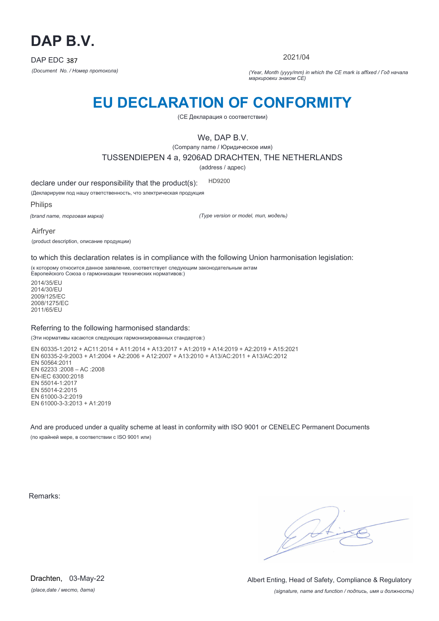

2021/04

*(Document No. / Номер протокола) (Year, Month (yyyy/mm) in which the CE mark is affixed / Год начала маркировки знаком CE)*

# **EU DECLARATION OF CONFORMITY**

(CE Декларация о соответствии)

We, DAP B.V.

(Company name / Юридическое имя)

TUSSENDIEPEN 4 a, 9206AD DRACHTEN, THE NETHERLANDS

(address / адрес)

declare under our responsibility that the product(s): HD9200

(Декларируем под нашу ответственность, что электрическая продукция

Philips

*(brand name, торговая марка)*

*(Type version or model, тип, модель)*

Airfryer

(product description, описание продукции)

to which this declaration relates is in compliance with the following Union harmonisation legislation:

(к которому относится данное заявление, соответствует следующим законодательным актам Европейского Союза о гармонизации технических нормативов:)

2014/35/EU 2014/30/EU 2009/125/EC 2008/1275/EC 2011/65/EU

#### Referring to the following harmonised standards:

(Эти нормативы касаются следующих гармонизированных стандартов:)

EN 60335-1:2012 + AC11:2014 + A11:2014 + A13:2017 + A1:2019 + A14:2019 + A2:2019 + A15:2021 EN 60335-2-9:2003 + A1:2004 + A2:2006 + A12:2007 + A13:2010 + A13/AC:2011 + A13/AC:2012 EN 50564:2011 EN 62233 :2008 – AC :2008 EN-IEC 63000:2018 EN 55014-1:2017 EN 55014-2:2015 EN 61000-3-2:2019 EN 61000-3-3:2013 + A1:2019

And are produced under a quality scheme at least in conformity with ISO 9001 or CENELEC Permanent Documents (по крайней мере, в соответствии с ISO 9001 или)

Remarks:

 $\sqrt{4}$ 

*(place,date / место, дата)* Drachten, 03-May-22

*(signature, name and function / подпись, имя и должность)* Albert Enting, Head of Safety, Compliance & Regulatory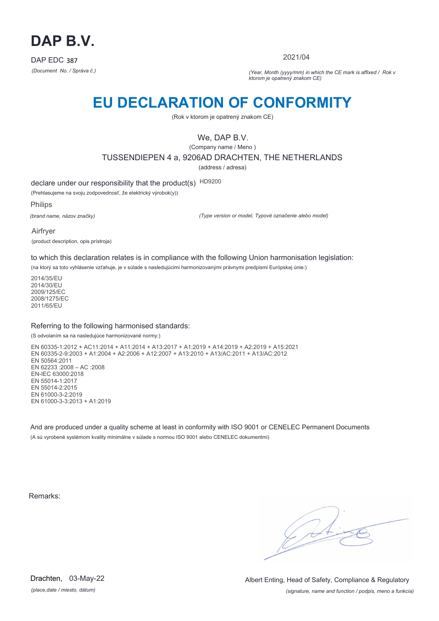

2021/04

*(Document No. / Správa č.) (Year, Month (yyyy/mm) in which the CE mark is affixed / Rok v ktorom je opatrený znakom CE)*

### **EU DECLARATION OF CONFORMITY**

(Rok v ktorom je opatrený znakom CE)

We, DAP B.V.

(Company name / Meno )

TUSSENDIEPEN 4 a, 9206AD DRACHTEN, THE NETHERLANDS

(address / adresa)

declare under our responsibility that the product(s) HD9200

(Prehlasujeme na svoju zodpovednosť, že elektrický výrobok(y))

Philips

*(brand name, názov značky)*

*(Type version or model, Typové označenie alebo model)*

Airfryer (product description, opis prístroja)

to which this declaration relates is in compliance with the following Union harmonisation legislation:

(na ktorý sa toto vyhlásenie vzťahuje, je v súlade s nasledujúcimi harmonizovanými právnymi predpismi Európskej únie:)

2014/35/EU 2014/30/EU 2009/125/EC 2008/1275/EC 2011/65/EU

#### Referring to the following harmonised standards:

(S odvolaním sa na nasledujúce harmonizované normy:)

EN 60335-1:2012 + AC11:2014 + A11:2014 + A13:2017 + A1:2019 + A14:2019 + A2:2019 + A15:2021 EN 60335-2-9:2003 + A1:2004 + A2:2006 + A12:2007 + A13:2010 + A13/AC:2011 + A13/AC:2012 EN 50564:2011 EN 62233 :2008 – AC :2008 EN-IEC 63000:2018 EN 55014-1:2017 EN 55014-2:2015 EN 61000-3-2:2019 EN 61000-3-3:2013 + A1:2019

And are produced under a quality scheme at least in conformity with ISO 9001 or CENELEC Permanent Documents (A sú vyrobené systémom kvality minimálne v súlade s normou ISO 9001 alebo CENELEC dokumentmi)

Remarks:

*(place,date / miesto, dátum)* Drachten, 03-May-22

*(signature, name and function / podpis, meno a funkcia)* Albert Enting, Head of Safety, Compliance & Regulatory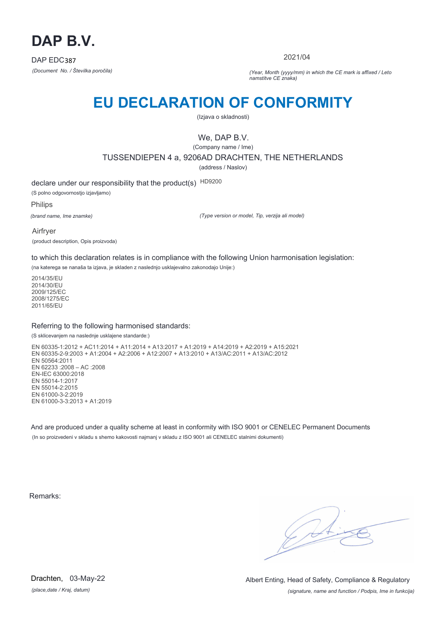

2021/04

*(Document No. / Številka poročila) (Year, Month (yyyy/mm) in which the CE mark is affixed / Leto namstitve CE znaka)*

# **EU DECLARATION OF CONFORMITY**

(Izjava o skladnosti)

### We, DAP B.V.

(Company name / Ime)

TUSSENDIEPEN 4 a, 9206AD DRACHTEN, THE NETHERLANDS

(address / Naslov)

declare under our responsibility that the product(s) HD9200 (S polno odgovornostjo izjavljamo)

Philips

*(brand name, Ime znamke)*

*(Type version or model, Tip, verzija ali model)*

Airfryer (product description, Opis proizvoda)

to which this declaration relates is in compliance with the following Union harmonisation legislation:

(na katerega se nanaša ta izjava, je skladen z naslednjo usklajevalno zakonodajo Unije:)

2014/35/EU 2014/30/EU 2009/125/EC 2008/1275/EC 2011/65/EU

#### Referring to the following harmonised standards:

#### (S sklicevanjem na naslednje usklajene standarde:)

EN 60335-1:2012 + AC11:2014 + A11:2014 + A13:2017 + A1:2019 + A14:2019 + A2:2019 + A15:2021 EN 60335-2-9:2003 + A1:2004 + A2:2006 + A12:2007 + A13:2010 + A13/AC:2011 + A13/AC:2012 EN 50564:2011 EN 62233 :2008 – AC :2008 EN-IEC 63000:2018 EN 55014-1:2017 EN 55014-2:2015 EN 61000-3-2:2019 EN 61000-3-3:2013 + A1:2019

And are produced under a quality scheme at least in conformity with ISO 9001 or CENELEC Permanent Documents (In so proizvedeni v skladu s shemo kakovosti najmanj v skladu z ISO 9001 ali CENELEC stalnimi dokumenti)

Remarks:

*(place,date / Kraj, datum)* Drachten, 03-May-22

*(signature, name and function / Podpis, Ime in funkcija)* Albert Enting, Head of Safety, Compliance & Regulatory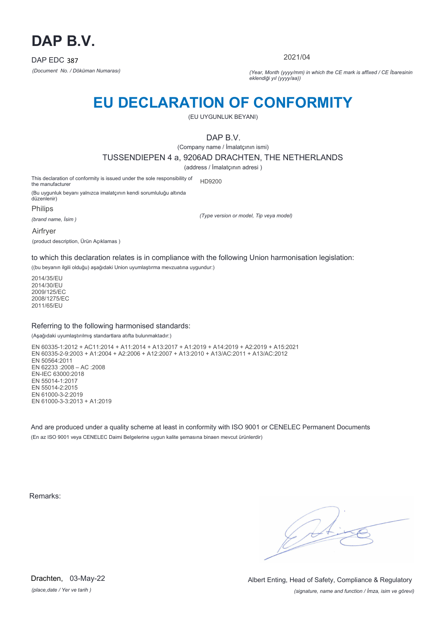

2021/04

*(Document No. / Döküman Numarası) (Year, Month (yyyy/mm) in which the CE mark is affixed / CE İbaresinin eklendiği yıl (yyyy/aa))*

### **EU DECLARATION OF CONFORMITY**

(EU UYGUNLUK BEYANI)

DAP B.V.

(Company name / İmalatçının ismi)

TUSSENDIEPEN 4 a, 9206AD DRACHTEN, THE NETHERLANDS

(address / İmalatçının adresi )

This declaration of conformity is issued under the sole responsibility of the manufacturer HD9200

(Bu uygunluk beyanı yalnızca imalatçının kendi sorumluluğu altında düzenlenir)

Philips

*(brand name, İsim )*

*(Type version or model, Tip veya model)*

Airfryer

(product description, Ürün Açıklamas )

to which this declaration relates is in compliance with the following Union harmonisation legislation:

((bu beyanın ilgili olduğu) aşağıdaki Union uyumlaştırma mevzuatına uygundur:)

2014/35/EU 2014/30/EU 2009/125/EC 2008/1275/EC 2011/65/EU

#### Referring to the following harmonised standards:

(Aşağıdaki uyumlaştırılmış standartlara atıfta bulunmaktadır:)

EN 60335-1:2012 + AC11:2014 + A11:2014 + A13:2017 + A1:2019 + A14:2019 + A2:2019 + A15:2021 EN 60335-2-9:2003 + A1:2004 + A2:2006 + A12:2007 + A13:2010 + A13/AC:2011 + A13/AC:2012 EN 50564:2011 EN 62233 :2008 – AC :2008 EN-IEC 63000:2018 EN 55014-1:2017 EN 55014-2:2015 EN 61000-3-2:2019 EN 61000-3-3:2013 + A1:2019

And are produced under a quality scheme at least in conformity with ISO 9001 or CENELEC Permanent Documents (En az ISO 9001 veya CENELEC Daimi Belgelerine uygun kalite şemasına binaen mevcut ürünlerdir)

Remarks:

*(place,date / Yer ve tarih )* Drachten, 03-May-22

*(signature, name and function / İmza, isim ve görevi)* Albert Enting, Head of Safety, Compliance & Regulatory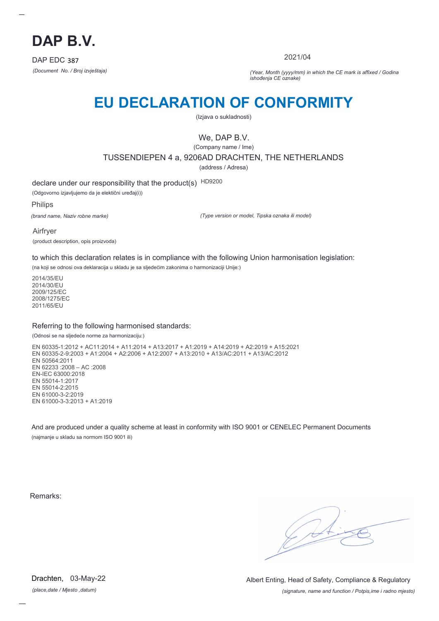

2021/04

*(Document No. / Broj izvještaja) (Year, Month (yyyy/mm) in which the CE mark is affixed / Godina ishođenja CE oznake)*

# **EU DECLARATION OF CONFORMITY**

(Izjava o sukladnosti)

We, DAP B.V.

(Company name / Ime) TUSSENDIEPEN 4 a, 9206AD DRACHTEN, THE NETHERLANDS

(address / Adresa)

declare under our responsibility that the product(s) HD9200

(Odgovorno izjavljujemo da je elektični uređaj(i))

Philips

*(brand name, Naziv robne marke)*

*(Type version or model, Tipska oznaka ili model)*

Airfryer (product description, opis proizvoda)

to which this declaration relates is in compliance with the following Union harmonisation legislation:

(na koji se odnosi ova deklaracija u skladu je sa sljedećim zakonima o harmonizaciji Unije:)

2014/35/EU 2014/30/EU 2009/125/EC 2008/1275/EC 2011/65/EU

#### Referring to the following harmonised standards:

#### (Odnosi se na sljedeće norme za harmonizaciju:)

EN 60335-1:2012 + AC11:2014 + A11:2014 + A13:2017 + A1:2019 + A14:2019 + A2:2019 + A15:2021 EN 60335-2-9:2003 + A1:2004 + A2:2006 + A12:2007 + A13:2010 + A13/AC:2011 + A13/AC:2012 EN 50564:2011 EN 62233 :2008 – AC :2008 EN-IEC 63000:2018 EN 55014-1:2017 EN 55014-2:2015 EN 61000-3-2:2019 EN 61000-3-3:2013 + A1:2019

And are produced under a quality scheme at least in conformity with ISO 9001 or CENELEC Permanent Documents (najmanje u skladu sa normom ISO 9001 ili)

Remarks:

*(place,date / Mjesto ,datum)* Drachten, 03-May-22

*(signature, name and function / Potpis,ime i radno mjesto)* Albert Enting, Head of Safety, Compliance & Regulatory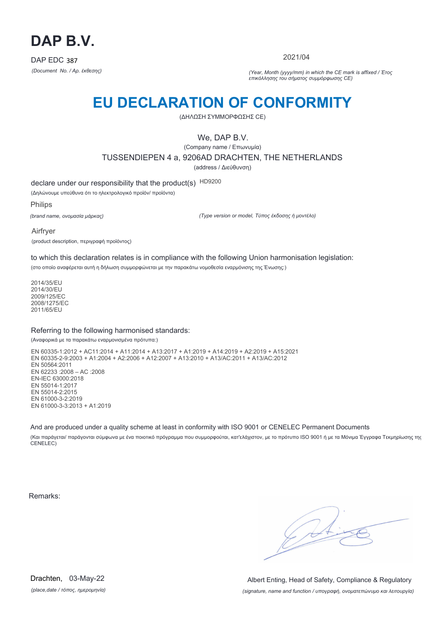

2021/04

*(Document No. / Αρ. έκθεσης) (Year, Month (yyyy/mm) in which the CE mark is affixed / Έτος επικόλλησης του σήματος συμμόρφωσης CE)*

## **EU DECLARATION OF CONFORMITY**

(ΔΗΛΩΣΗ ΣΥΜΜΟΡΦΩΣΗΣ CE)

We, DAP B.V.

(Company name / Επωνυμία) TUSSENDIEPEN 4 a, 9206AD DRACHTEN, THE NETHERLANDS (address / Διεύθυνση)

declare under our responsibility that the product(s) HD9200

(Δηλώνουμε υπεύθυνα ότι το ηλεκτρολογικό προϊόν/ προϊόντα)

Philips

*(brand name, ονομασία μάρκας)*

*(Type version or model, Τύπος έκδοσης ή μοντέλο)*

Airfryer

(product description, περιγραφή προϊόντος)

to which this declaration relates is in compliance with the following Union harmonisation legislation:

(στο οποίο αναφέρεται αυτή η δήλωση συμμορφώνεται με την παρακάτω νομοθεσία εναρμόνισης της Ένωσης:)

2014/35/EU 2014/30/EU 2009/125/EC 2008/1275/EC 2011/65/EU

#### Referring to the following harmonised standards:

(Αναφορικά με τα παρακάτω εναρμονισμένα πρότυπα:)

EN 60335-1:2012 + AC11:2014 + A11:2014 + A13:2017 + A1:2019 + A14:2019 + A2:2019 + A15:2021 EN 60335-2-9:2003 + A1:2004 + A2:2006 + A12:2007 + A13:2010 + A13/AC:2011 + A13/AC:2012 EN 50564:2011 EN 62233 :2008 – AC :2008 EN-IEC 63000:2018 EN 55014-1:2017 EN 55014-2:2015 EN 61000-3-2:2019 EN 61000-3-3:2013 + A1:2019

And are produced under a quality scheme at least in conformity with ISO 9001 or CENELEC Permanent Documents

(Και παράγεται/ παράγονται σύμφωνα με ένα ποιοτικό πρόγραμμα που συμμορφούται, κατ'ελάχιστον, με το πρότυπο ISO 9001 ή με τα Μόνιμα Έγγραφα Τεκμηρίωσης της CENELEC)

Remarks:

 $\sqrt{4}$ 

*(place,date / τόπος, ημερομηνία)* Drachten, 03-May-22

*(signature, name and function / υπογραφή, ονοματεπώνυμο και λειτουργία)* Albert Enting, Head of Safety, Compliance & Regulatory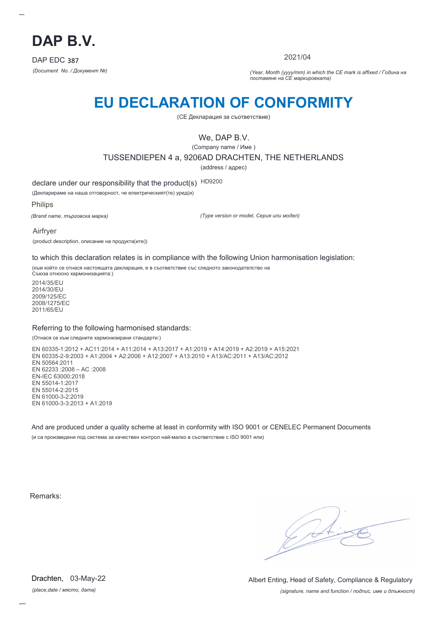

2021/04

*(Document No. / Документ №) (Year, Month (yyyy/mm) in which the CE mark is affixed / Година на поставяне на CE маркировката)*

# **EU DECLARATION OF CONFORMITY**

(CE Декларация за съответствие)

We, DAP B.V.

(Company name / Име )

TUSSENDIEPEN 4 a, 9206AD DRACHTEN, THE NETHERLANDS

(address / адрес)

declare under our responsibility that the product(s) HD9200

(Декларираме на наша отговорност, че електрическият(те) уред(и)

Philips

*(Brand name, търговска марка)*

*(Type version or model, Серия или модел)*

Airfryer

(product description, описание на продукта(ите))

to which this declaration relates is in compliance with the following Union harmonisation legislation:

(към който се отнася настоящата декларация, е в съответствие със следното законодателство на Съюза относно хармонизацията:)

2014/35/EU 2014/30/EU 2009/125/EC 2008/1275/EC 2011/65/EU

#### Referring to the following harmonised standards:

(Отнася се към следните хармонизирани стандарти:)

EN 60335-1:2012 + AC11:2014 + A11:2014 + A13:2017 + A1:2019 + A14:2019 + A2:2019 + A15:2021 EN 60335-2-9:2003 + A1:2004 + A2:2006 + A12:2007 + A13:2010 + A13/AC:2011 + A13/AC:2012 EN 50564:2011 EN 62233 :2008 – AC :2008 EN-IEC 63000:2018 EN 55014-1:2017 EN 55014-2:2015 EN 61000-3-2:2019 EN 61000-3-3:2013 + A1:2019

And are produced under a quality scheme at least in conformity with ISO 9001 or CENELEC Permanent Documents (и са произведени под система за качествен контрол най-малко в съответствие с ISO 9001 или)

Remarks:

*(place,date / място, дата)* Drachten, 03-May-22

*(signature, name and function / подпис, име и длъжност)* Albert Enting, Head of Safety, Compliance & Regulatory